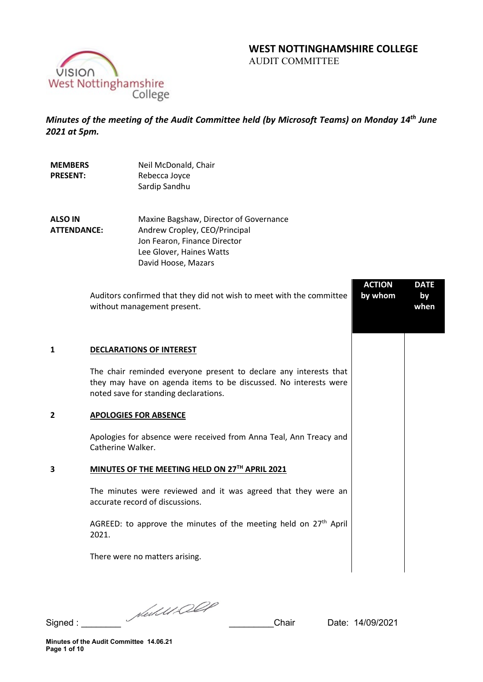# **WEST NOTTINGHAMSHIRE COLLEGE**  AUDIT COMMITTEE

VISION<br>West Nottinghamshire<br>College

*Minutes of the meeting of the Audit Committee held (by Microsoft Teams) on Monday 14th June 2021 at 5pm.* 

| <b>MEMBERS</b><br><b>PRESENT:</b> |                   | Neil McDonald, Chair<br>Rebecca Joyce<br>Sardip Sandhu                                                                                                                         |                          |                           |
|-----------------------------------|-------------------|--------------------------------------------------------------------------------------------------------------------------------------------------------------------------------|--------------------------|---------------------------|
| ALSO IN<br><b>ATTENDANCE:</b>     |                   | Maxine Bagshaw, Director of Governance<br>Andrew Cropley, CEO/Principal<br>Jon Fearon, Finance Director<br>Lee Glover, Haines Watts<br>David Hoose, Mazars                     |                          |                           |
|                                   |                   | Auditors confirmed that they did not wish to meet with the committee<br>without management present.                                                                            | <b>ACTION</b><br>by whom | <b>DATE</b><br>by<br>when |
| 1                                 |                   | <b>DECLARATIONS OF INTEREST</b>                                                                                                                                                |                          |                           |
|                                   |                   | The chair reminded everyone present to declare any interests that<br>they may have on agenda items to be discussed. No interests were<br>noted save for standing declarations. |                          |                           |
| 2                                 |                   | <b>APOLOGIES FOR ABSENCE</b>                                                                                                                                                   |                          |                           |
|                                   | Catherine Walker. | Apologies for absence were received from Anna Teal, Ann Treacy and                                                                                                             |                          |                           |
| 3                                 |                   | MINUTES OF THE MEETING HELD ON 27TH APRIL 2021                                                                                                                                 |                          |                           |
|                                   |                   | The minutes were reviewed and it was agreed that they were an<br>accurate record of discussions.                                                                               |                          |                           |
|                                   | 2021.             | AGREED: to approve the minutes of the meeting held on 27 <sup>th</sup> April                                                                                                   |                          |                           |
|                                   |                   | There were no matters arising.                                                                                                                                                 |                          |                           |
|                                   |                   |                                                                                                                                                                                |                          |                           |

Signed : \_\_\_\_\_\_\_\_ \_\_\_\_\_\_\_\_\_Chair Date: 14/09/2021

**Minutes of the Audit Committee 14.06.21 Page 1 of 10**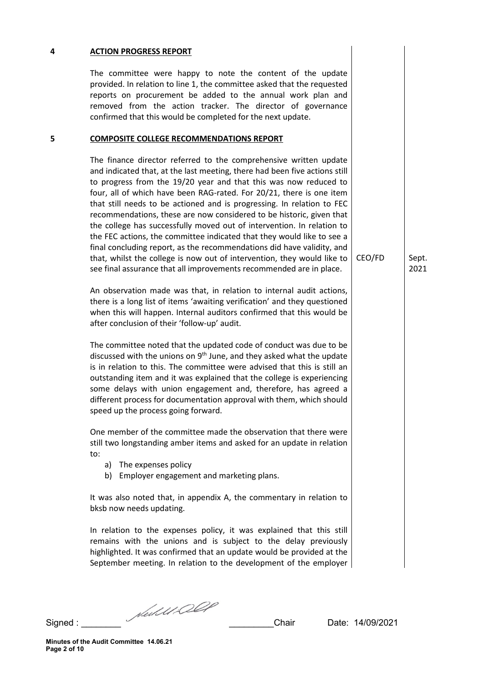### **4 ACTION PROGRESS REPORT**

The committee were happy to note the content of the update provided. In relation to line 1, the committee asked that the requested reports on procurement be added to the annual work plan and removed from the action tracker. The director of governance confirmed that this would be completed for the next update.

#### **5 COMPOSITE COLLEGE RECOMMENDATIONS REPORT**

The finance director referred to the comprehensive written update and indicated that, at the last meeting, there had been five actions still to progress from the 19/20 year and that this was now reduced to four, all of which have been RAG-rated. For 20/21, there is one item that still needs to be actioned and is progressing. In relation to FEC recommendations, these are now considered to be historic, given that the college has successfully moved out of intervention. In relation to the FEC actions, the committee indicated that they would like to see a final concluding report, as the recommendations did have validity, and that, whilst the college is now out of intervention, they would like to see final assurance that all improvements recommended are in place.

An observation made was that, in relation to internal audit actions, there is a long list of items 'awaiting verification' and they questioned when this will happen. Internal auditors confirmed that this would be after conclusion of their 'follow-up' audit.

The committee noted that the updated code of conduct was due to be discussed with the unions on 9<sup>th</sup> June, and they asked what the update is in relation to this. The committee were advised that this is still an outstanding item and it was explained that the college is experiencing some delays with union engagement and, therefore, has agreed a different process for documentation approval with them, which should speed up the process going forward.

One member of the committee made the observation that there were still two longstanding amber items and asked for an update in relation to:

- a) The expenses policy
- b) Employer engagement and marketing plans.

It was also noted that, in appendix A, the commentary in relation to bksb now needs updating.

In relation to the expenses policy, it was explained that this still remains with the unions and is subject to the delay previously highlighted. It was confirmed that an update would be provided at the September meeting. In relation to the development of the employer

CEO/FD Sept. 2021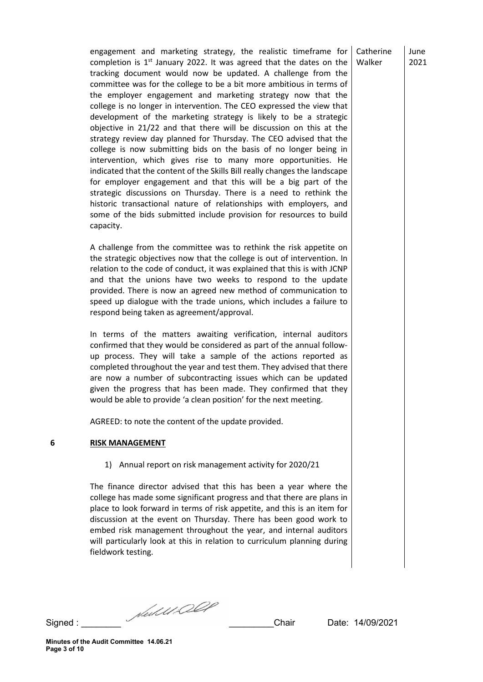engagement and marketing strategy, the realistic timeframe for completion is  $1<sup>st</sup>$  January 2022. It was agreed that the dates on the tracking document would now be updated. A challenge from the committee was for the college to be a bit more ambitious in terms of the employer engagement and marketing strategy now that the college is no longer in intervention. The CEO expressed the view that development of the marketing strategy is likely to be a strategic objective in 21/22 and that there will be discussion on this at the strategy review day planned for Thursday. The CEO advised that the college is now submitting bids on the basis of no longer being in intervention, which gives rise to many more opportunities. He indicated that the content of the Skills Bill really changes the landscape for employer engagement and that this will be a big part of the strategic discussions on Thursday. There is a need to rethink the historic transactional nature of relationships with employers, and some of the bids submitted include provision for resources to build capacity.

A challenge from the committee was to rethink the risk appetite on the strategic objectives now that the college is out of intervention. In relation to the code of conduct, it was explained that this is with JCNP and that the unions have two weeks to respond to the update provided. There is now an agreed new method of communication to speed up dialogue with the trade unions, which includes a failure to respond being taken as agreement/approval.

In terms of the matters awaiting verification, internal auditors confirmed that they would be considered as part of the annual followup process. They will take a sample of the actions reported as completed throughout the year and test them. They advised that there are now a number of subcontracting issues which can be updated given the progress that has been made. They confirmed that they would be able to provide 'a clean position' for the next meeting.

AGREED: to note the content of the update provided.

# **6 RISK MANAGEMENT**

1) Annual report on risk management activity for 2020/21

The finance director advised that this has been a year where the college has made some significant progress and that there are plans in place to look forward in terms of risk appetite, and this is an item for discussion at the event on Thursday. There has been good work to embed risk management throughout the year, and internal auditors will particularly look at this in relation to curriculum planning during fieldwork testing.

Signed :  $\frac{1}{\sqrt{d}}$  /  $\frac{1}{\sqrt{d}}$  /  $\frac{1}{\sqrt{d}}$  /  $\frac{1}{\sqrt{d}}$  / Chair Date: 14/09/2021

June 2021

**Catherine** Walker

**Minutes of the Audit Committee 14.06.21 Page 3 of 10**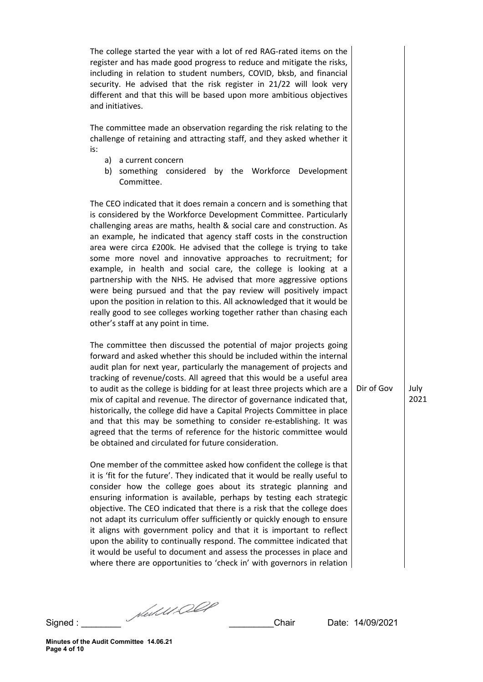The college started the year with a lot of red RAG-rated items on the register and has made good progress to reduce and mitigate the risks, including in relation to student numbers, COVID, bksb, and financial security. He advised that the risk register in 21/22 will look very different and that this will be based upon more ambitious objectives and initiatives.

The committee made an observation regarding the risk relating to the challenge of retaining and attracting staff, and they asked whether it is:

- a) a current concern
- b) something considered by the Workforce Development Committee.

The CEO indicated that it does remain a concern and is something that is considered by the Workforce Development Committee. Particularly challenging areas are maths, health & social care and construction. As an example, he indicated that agency staff costs in the construction area were circa £200k. He advised that the college is trying to take some more novel and innovative approaches to recruitment; for example, in health and social care, the college is looking at a partnership with the NHS. He advised that more aggressive options were being pursued and that the pay review will positively impact upon the position in relation to this. All acknowledged that it would be really good to see colleges working together rather than chasing each other's staff at any point in time.

The committee then discussed the potential of major projects going forward and asked whether this should be included within the internal audit plan for next year, particularly the management of projects and tracking of revenue/costs. All agreed that this would be a useful area to audit as the college is bidding for at least three projects which are a mix of capital and revenue. The director of governance indicated that, historically, the college did have a Capital Projects Committee in place and that this may be something to consider re-establishing. It was agreed that the terms of reference for the historic committee would be obtained and circulated for future consideration.

One member of the committee asked how confident the college is that it is 'fit for the future'. They indicated that it would be really useful to consider how the college goes about its strategic planning and ensuring information is available, perhaps by testing each strategic objective. The CEO indicated that there is a risk that the college does not adapt its curriculum offer sufficiently or quickly enough to ensure it aligns with government policy and that it is important to reflect upon the ability to continually respond. The committee indicated that it would be useful to document and assess the processes in place and where there are opportunities to 'check in' with governors in relation

Dir of Gov  $|$  July 2021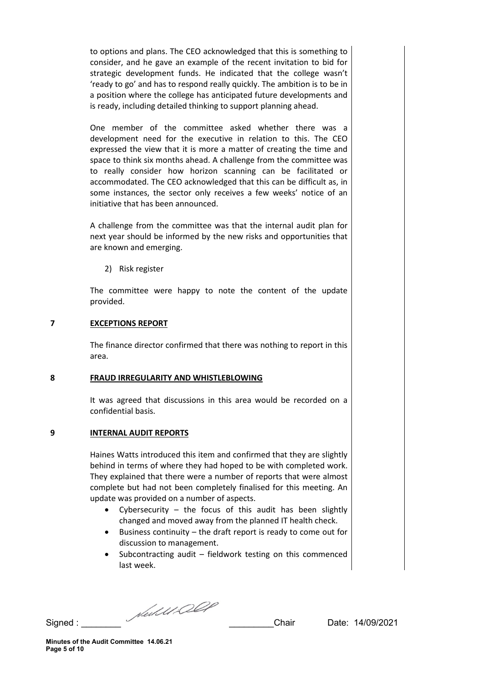to options and plans. The CEO acknowledged that this is something to consider, and he gave an example of the recent invitation to bid for strategic development funds. He indicated that the college wasn't 'ready to go' and has to respond really quickly. The ambition is to be in a position where the college has anticipated future developments and is ready, including detailed thinking to support planning ahead.

One member of the committee asked whether there was a development need for the executive in relation to this. The CEO expressed the view that it is more a matter of creating the time and space to think six months ahead. A challenge from the committee was to really consider how horizon scanning can be facilitated or accommodated. The CEO acknowledged that this can be difficult as, in some instances, the sector only receives a few weeks' notice of an initiative that has been announced.

A challenge from the committee was that the internal audit plan for next year should be informed by the new risks and opportunities that are known and emerging.

2) Risk register

The committee were happy to note the content of the update provided.

# **7 EXCEPTIONS REPORT**

The finance director confirmed that there was nothing to report in this area.

# **8 FRAUD IRREGULARITY AND WHISTLEBLOWING**

It was agreed that discussions in this area would be recorded on a confidential basis.

# **9 INTERNAL AUDIT REPORTS**

Haines Watts introduced this item and confirmed that they are slightly behind in terms of where they had hoped to be with completed work. They explained that there were a number of reports that were almost complete but had not been completely finalised for this meeting. An update was provided on a number of aspects.

- Cybersecurity the focus of this audit has been slightly changed and moved away from the planned IT health check.
- Business continuity the draft report is ready to come out for discussion to management.
- Subcontracting audit  $-$  fieldwork testing on this commenced last week.

Signed : \_\_\_\_\_\_\_\_ \_\_\_\_\_\_\_\_\_Chair Date: 14/09/2021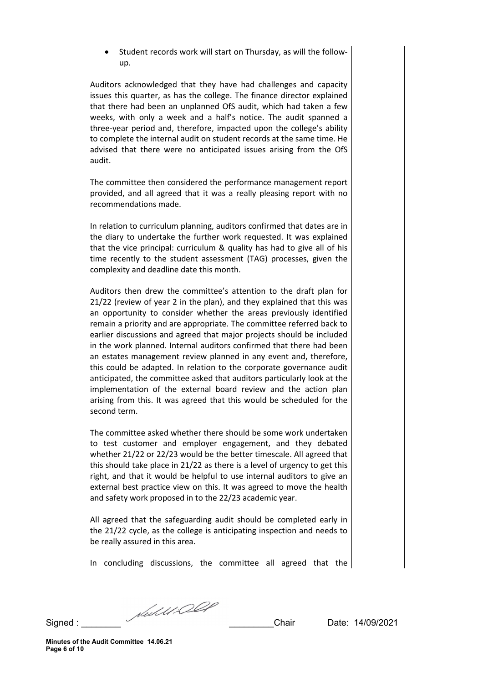• Student records work will start on Thursday, as will the followup.

Auditors acknowledged that they have had challenges and capacity issues this quarter, as has the college. The finance director explained that there had been an unplanned OfS audit, which had taken a few weeks, with only a week and a half's notice. The audit spanned a three-year period and, therefore, impacted upon the college's ability to complete the internal audit on student records at the same time. He advised that there were no anticipated issues arising from the OfS audit.

The committee then considered the performance management report provided, and all agreed that it was a really pleasing report with no recommendations made.

In relation to curriculum planning, auditors confirmed that dates are in the diary to undertake the further work requested. It was explained that the vice principal: curriculum & quality has had to give all of his time recently to the student assessment (TAG) processes, given the complexity and deadline date this month.

Auditors then drew the committee's attention to the draft plan for 21/22 (review of year 2 in the plan), and they explained that this was an opportunity to consider whether the areas previously identified remain a priority and are appropriate. The committee referred back to earlier discussions and agreed that major projects should be included in the work planned. Internal auditors confirmed that there had been an estates management review planned in any event and, therefore, this could be adapted. In relation to the corporate governance audit anticipated, the committee asked that auditors particularly look at the implementation of the external board review and the action plan arising from this. It was agreed that this would be scheduled for the second term.

The committee asked whether there should be some work undertaken to test customer and employer engagement, and they debated whether 21/22 or 22/23 would be the better timescale. All agreed that this should take place in 21/22 as there is a level of urgency to get this right, and that it would be helpful to use internal auditors to give an external best practice view on this. It was agreed to move the health and safety work proposed in to the 22/23 academic year.

All agreed that the safeguarding audit should be completed early in the 21/22 cycle, as the college is anticipating inspection and needs to be really assured in this area.

In concluding discussions, the committee all agreed that the

Signed : \_\_\_\_\_\_\_\_ \_\_\_\_\_\_\_\_\_Chair Date: 14/09/2021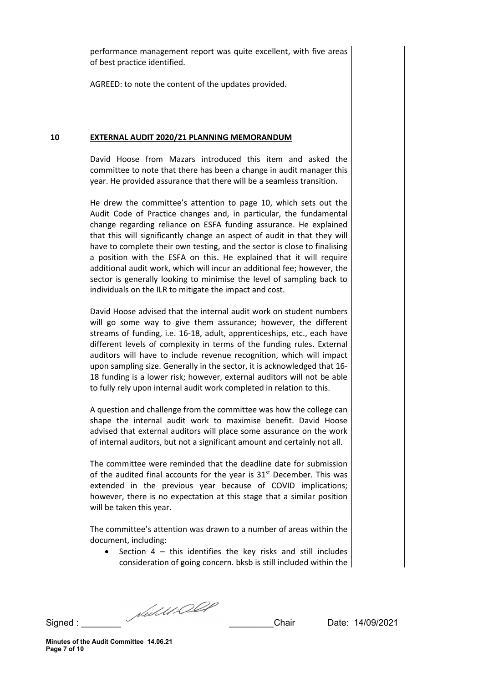performance management report was quite excellent, with five areas of best practice identified.

AGREED: to note the content of the updates provided.

#### **10 EXTERNAL AUDIT 2020/21 PLANNING MEMORANDUM**

David Hoose from Mazars introduced this item and asked the committee to note that there has been a change in audit manager this year. He provided assurance that there will be a seamless transition.

He drew the committee's attention to page 10, which sets out the Audit Code of Practice changes and, in particular, the fundamental change regarding reliance on ESFA funding assurance. He explained that this will significantly change an aspect of audit in that they will have to complete their own testing, and the sector is close to finalising a position with the ESFA on this. He explained that it will require additional audit work, which will incur an additional fee; however, the sector is generally looking to minimise the level of sampling back to individuals on the ILR to mitigate the impact and cost.

David Hoose advised that the internal audit work on student numbers will go some way to give them assurance; however, the different streams of funding, i.e. 16-18, adult, apprenticeships, etc., each have different levels of complexity in terms of the funding rules. External auditors will have to include revenue recognition, which will impact upon sampling size. Generally in the sector, it is acknowledged that 16- 18 funding is a lower risk; however, external auditors will not be able to fully rely upon internal audit work completed in relation to this.

A question and challenge from the committee was how the college can shape the internal audit work to maximise benefit. David Hoose advised that external auditors will place some assurance on the work of internal auditors, but not a significant amount and certainly not all.

The committee were reminded that the deadline date for submission of the audited final accounts for the year is  $31<sup>st</sup>$  December. This was extended in the previous year because of COVID implications; however, there is no expectation at this stage that a similar position will be taken this year.

The committee's attention was drawn to a number of areas within the document, including:

• Section  $4$  – this identifies the key risks and still includes consideration of going concern. bksb is still included within the

Signed : \_\_\_\_\_\_\_\_ \_\_\_\_\_\_\_\_\_Chair Date: 14/09/2021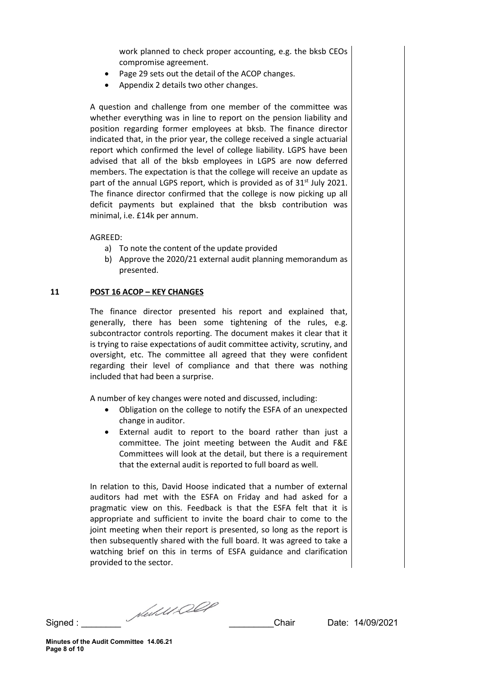work planned to check proper accounting, e.g. the bksb CEOs compromise agreement.

- Page 29 sets out the detail of the ACOP changes.
- Appendix 2 details two other changes.

A question and challenge from one member of the committee was whether everything was in line to report on the pension liability and position regarding former employees at bksb. The finance director indicated that, in the prior year, the college received a single actuarial report which confirmed the level of college liability. LGPS have been advised that all of the bksb employees in LGPS are now deferred members. The expectation is that the college will receive an update as part of the annual LGPS report, which is provided as of 31<sup>st</sup> July 2021. The finance director confirmed that the college is now picking up all deficit payments but explained that the bksb contribution was minimal, i.e. £14k per annum.

AGREED:

- a) To note the content of the update provided
- b) Approve the 2020/21 external audit planning memorandum as presented.

### **11 POST 16 ACOP – KEY CHANGES**

The finance director presented his report and explained that, generally, there has been some tightening of the rules, e.g. subcontractor controls reporting. The document makes it clear that it is trying to raise expectations of audit committee activity, scrutiny, and oversight, etc. The committee all agreed that they were confident regarding their level of compliance and that there was nothing included that had been a surprise.

A number of key changes were noted and discussed, including:

- Obligation on the college to notify the ESFA of an unexpected change in auditor.
- External audit to report to the board rather than just a committee. The joint meeting between the Audit and F&E Committees will look at the detail, but there is a requirement that the external audit is reported to full board as well.

In relation to this, David Hoose indicated that a number of external auditors had met with the ESFA on Friday and had asked for a pragmatic view on this. Feedback is that the ESFA felt that it is appropriate and sufficient to invite the board chair to come to the joint meeting when their report is presented, so long as the report is then subsequently shared with the full board. It was agreed to take a watching brief on this in terms of ESFA guidance and clarification provided to the sector.

Signed : \_\_\_\_\_\_\_\_ \_\_\_\_\_\_\_\_\_Chair Date: 14/09/2021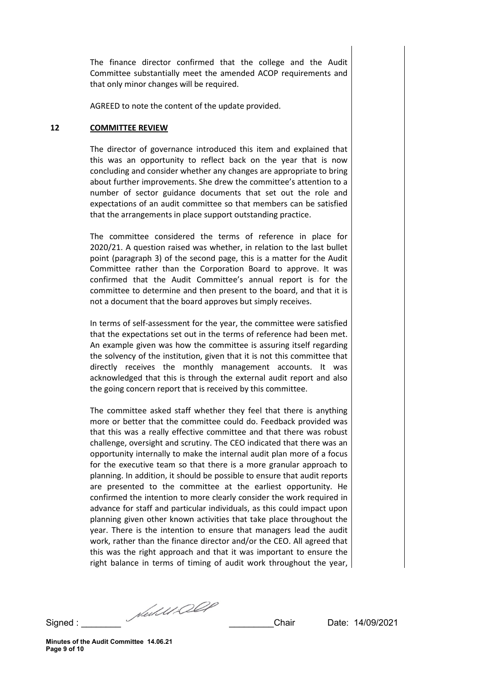The finance director confirmed that the college and the Audit Committee substantially meet the amended ACOP requirements and that only minor changes will be required.

AGREED to note the content of the update provided.

#### **12 COMMITTEE REVIEW**

The director of governance introduced this item and explained that this was an opportunity to reflect back on the year that is now concluding and consider whether any changes are appropriate to bring about further improvements. She drew the committee's attention to a number of sector guidance documents that set out the role and expectations of an audit committee so that members can be satisfied that the arrangements in place support outstanding practice.

The committee considered the terms of reference in place for 2020/21. A question raised was whether, in relation to the last bullet point (paragraph 3) of the second page, this is a matter for the Audit Committee rather than the Corporation Board to approve. It was confirmed that the Audit Committee's annual report is for the committee to determine and then present to the board, and that it is not a document that the board approves but simply receives.

In terms of self-assessment for the year, the committee were satisfied that the expectations set out in the terms of reference had been met. An example given was how the committee is assuring itself regarding the solvency of the institution, given that it is not this committee that directly receives the monthly management accounts. It was acknowledged that this is through the external audit report and also the going concern report that is received by this committee.

The committee asked staff whether they feel that there is anything more or better that the committee could do. Feedback provided was that this was a really effective committee and that there was robust challenge, oversight and scrutiny. The CEO indicated that there was an opportunity internally to make the internal audit plan more of a focus for the executive team so that there is a more granular approach to planning. In addition, it should be possible to ensure that audit reports are presented to the committee at the earliest opportunity. He confirmed the intention to more clearly consider the work required in advance for staff and particular individuals, as this could impact upon planning given other known activities that take place throughout the year. There is the intention to ensure that managers lead the audit work, rather than the finance director and/or the CEO. All agreed that this was the right approach and that it was important to ensure the right balance in terms of timing of audit work throughout the year,

Signed : \_\_\_\_\_\_\_\_ \_\_\_\_\_\_\_\_\_Chair Date: 14/09/2021